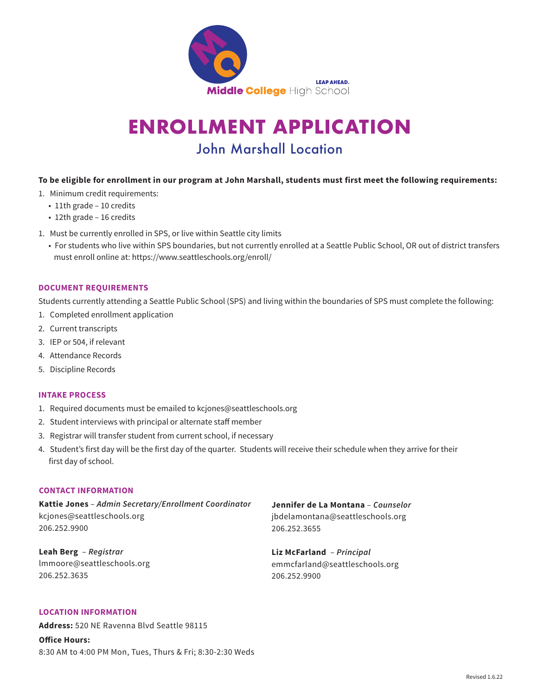

# **ENROLLMENT APPLICATION**  John Marshall Location

## **To be eligible for enrollment in our program at John Marshall, students must first meet the following requirements:**

- 1. Minimum credit requirements:
	- 11th grade 10 credits
	- 12th grade 16 credits
- 1. Must be currently enrolled in SPS, or live within Seattle city limits
	- For students who live within SPS boundaries, but not currently enrolled at a Seattle Public School, OR out of district transfers must enroll online at: [https://www.seattleschools.org/enroll/](https://www.seattleschools.org/enroll)

#### **DOCUMENT REQUIREMENTS**

Students currently attending a Seattle Public School (SPS) and living within the boundaries of SPS must complete the following:

- 1. Completed enrollment application
- 2. Current transcripts
- 3. IEP or 504, if relevant
- 4. Attendance Records
- 5. Discipline Records

## **INTAKE PROCESS**

- 1. Required documents must be emailed to [kcjones@seattleschools.org](mailto:kcjones@seattleschools.org)
- 2. Student interviews with principal or alternate staff member
- 3. Registrar will transfer student from current school, if necessary
- 4. Student's first day will be the first day of the quarter. Students will receive their schedule when they arrive for their first day of school.

## **CONTACT INFORMATION**

**Kattie Jones** – *Admin Secretary/Enrollment Coordinator*  [kcjones@seattleschools.org](mailto:kcjones@seattleschools.org) 206.252.9900

**Leah Berg** – *Registrar*  [lmmoore@seattleschools.org](mailto:lmmoore@seattleschools.org) 206.252.3635

**Jennifer de La Montana** – *Counselor*  [jbdelamontana@seattleschools.org](mailto:jbdelamontana@seattleschools.org) 206.252.3655

**Liz McFarland** – *Principal*  [emmcfarland@seattleschools.org](mailto:emmcfarland@seattleschools.org)  206.252.9900

# **LOCATION INFORMATION**

**Address:** 520 NE Ravenna Blvd Seattle 98115

**Office Hours:** 8:30 AM to 4:00 PM Mon, Tues, Thurs & Fri; 8:30-2:30 Weds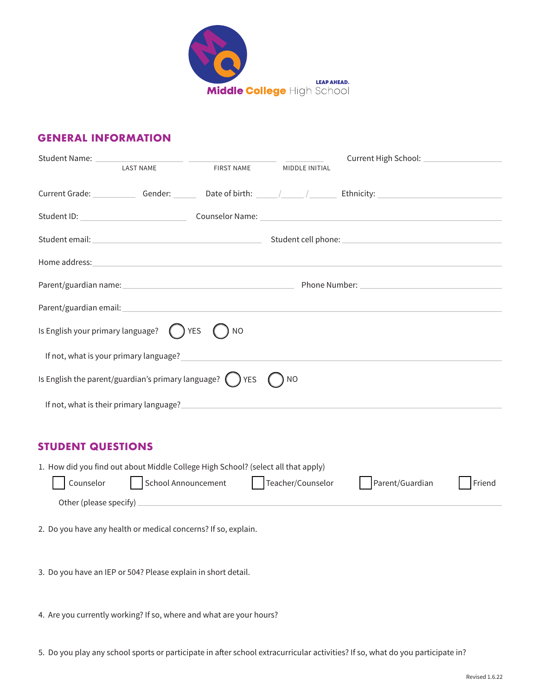

# **GENERAL INFORMATION**

| <b>LAST NAME</b>                                                                                                                                                                                                                     | <b>FIRST NAME</b> | MIDDLE INITIAL |  |
|--------------------------------------------------------------------------------------------------------------------------------------------------------------------------------------------------------------------------------------|-------------------|----------------|--|
| Current Grade: Gender: Capital Context Current Crate of Dirth: Capital Art Current Crade: Current Crade: Current Context Current Current Current Current Current Current Current Current Current Current Current Current Curre       |                   |                |  |
|                                                                                                                                                                                                                                      |                   |                |  |
|                                                                                                                                                                                                                                      |                   |                |  |
| Home address: <u>contract and a series of the series of the series of the series of the series of the series of the series of the series of the series of the series of the series of the series of the series of the series of </u> |                   |                |  |
|                                                                                                                                                                                                                                      |                   |                |  |
|                                                                                                                                                                                                                                      |                   |                |  |
| Is English your primary language? $\bigcirc$ YES                                                                                                                                                                                     | ΝO                |                |  |
| If not, what is your primary language?                                                                                                                                                                                               |                   |                |  |
| Is English the parent/guardian's primary language? $\bigcap$ YES                                                                                                                                                                     |                   | ΝO             |  |
| If not, what is their primary language?                                                                                                                                                                                              |                   |                |  |

# **STUDENT QUESTIONS**

| 1. How did you find out about Middle College High School? (select all that apply) |                     |                   |                 |        |  |
|-----------------------------------------------------------------------------------|---------------------|-------------------|-----------------|--------|--|
| Counselor                                                                         | School Announcement | Teacher/Counselor | Parent/Guardian | Friend |  |
| Other (please specify)                                                            |                     |                   |                 |        |  |
|                                                                                   |                     |                   |                 |        |  |
| 2. Do you have any health or medical concerns? If so, explain.                    |                     |                   |                 |        |  |
|                                                                                   |                     |                   |                 |        |  |

3. Do you have an IEP or 504? Please explain in short detail.

4. Are you currently working? If so, where and what are your hours?

5. Do you play any school sports or participate in after school extracurricular activities? If so, what do you participate in?